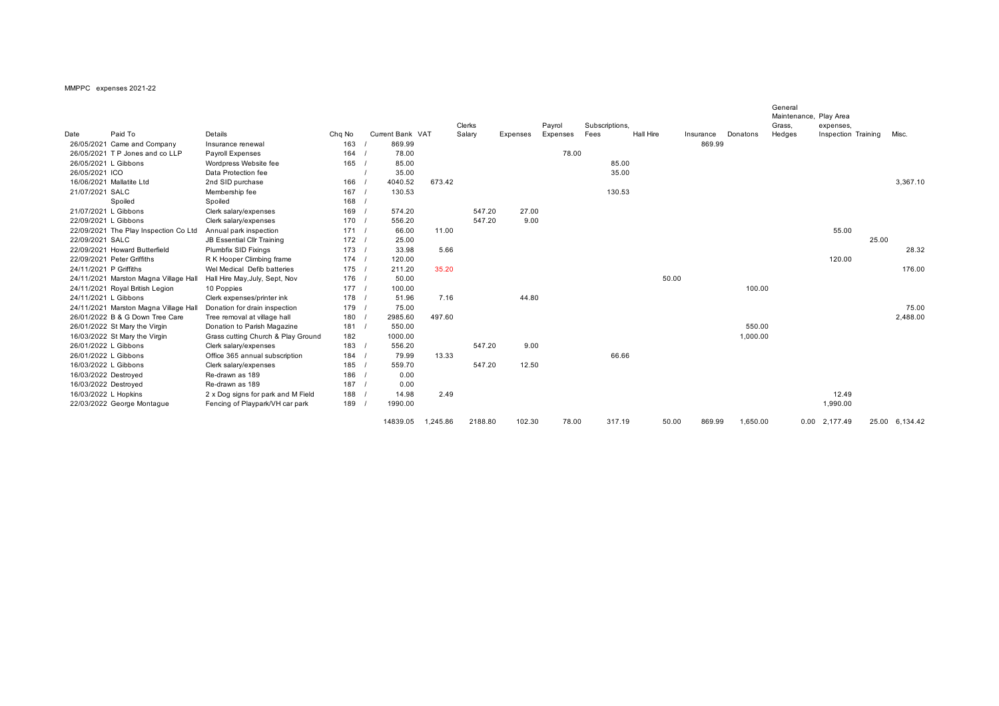## MMPPC expenses 2021-22

|                          |                                       |                                    |                  |                  |          | Clerks  |          | Payrol   | Subscriptions, |                  |                 |          | General<br>Maintenance, Play Area<br>Grass, | expenses,           |       |                |
|--------------------------|---------------------------------------|------------------------------------|------------------|------------------|----------|---------|----------|----------|----------------|------------------|-----------------|----------|---------------------------------------------|---------------------|-------|----------------|
| Date                     | Paid To                               | Details                            | Cha No           | Current Bank VAT |          | Salary  | Expenses | Expenses | Fees           | <b>Hall Hire</b> | Insurance       | Donatons | Hedges                                      | Inspection Training |       | Misc.          |
|                          | 26/05/2021 Came and Company           | Insurance renewal                  | 163              | 869.99           |          |         |          |          |                |                  | 869.99          |          |                                             |                     |       |                |
|                          | 26/05/2021 TP Jones and co LLP        | Payroll Expenses                   | 164              | 78.00            |          |         |          | 78.00    |                |                  |                 |          |                                             |                     |       |                |
| 26/05/2021 L Gibbons     |                                       | Wordpress Website fee              | 165              | 85.00            |          |         |          |          | 85.00          |                  |                 |          |                                             |                     |       |                |
| 26/05/2021 ICO           |                                       | Data Protection fee                |                  | 35.00            |          |         |          |          | 35.00          |                  |                 |          |                                             |                     |       |                |
| 16/06/2021 Mallatite Ltd |                                       | 2nd SID purchase                   | 166              | 4040.52          | 673.42   |         |          |          |                |                  |                 |          |                                             |                     |       | 3,367.10       |
| 21/07/2021 SALC          |                                       | Membership fee                     | 167              | 130.53           |          |         |          |          | 130.53         |                  |                 |          |                                             |                     |       |                |
|                          | Spoiled                               | Spoiled                            | 168              |                  |          |         |          |          |                |                  |                 |          |                                             |                     |       |                |
| 21/07/2021 L Gibbons     |                                       | Clerk salary/expenses              | 169              | 574.20           |          | 547.20  | 27.00    |          |                |                  |                 |          |                                             |                     |       |                |
| 22/09/2021 L Gibbons     |                                       | Clerk salary/expenses              | 170              | 556.20           |          | 547.20  | 9.00     |          |                |                  |                 |          |                                             |                     |       |                |
|                          | 22/09/2021 The Play Inspection Co Ltd | Annual park inspection             | 171/             | 66.00            | 11.00    |         |          |          |                |                  |                 |          |                                             | 55.00               |       |                |
| 22/09/2021 SALC          |                                       | JB Essential Cllr Training         | 172              | 25.00            |          |         |          |          |                |                  |                 |          |                                             |                     | 25.00 |                |
|                          | 22/09/2021 Howard Butterfield         | Plumbfix SID Fixings               | 173/             | 33.98            | 5.66     |         |          |          |                |                  |                 |          |                                             |                     |       | 28.32          |
|                          | 22/09/2021 Peter Griffiths            | R K Hooper Climbing frame          | $174$ /          | 120.00           |          |         |          |          |                |                  |                 |          |                                             | 120.00              |       |                |
| 24/11/2021 P Griffiths   |                                       | Wel Medical Defib batteries        | 175              | 211.20           | 35.20    |         |          |          |                |                  |                 |          |                                             |                     |       | 176.00         |
|                          | 24/11/2021 Marston Magna Village Hall | Hall Hire May, July, Sept, Nov     | 176              | 50.00            |          |         |          |          |                |                  | 50.00           |          |                                             |                     |       |                |
|                          | 24/11/2021 Royal British Legion       | 10 Poppies                         | 177 <sub>1</sub> | 100.00           |          |         |          |          |                |                  |                 | 100.00   |                                             |                     |       |                |
| 24/11/2021 L Gibbons     |                                       | Clerk expenses/printer ink         | 178              | 51.96            | 7.16     |         | 44.80    |          |                |                  |                 |          |                                             |                     |       |                |
|                          | 24/11/2021 Marston Magna Village Hall | Donation for drain inspection      | 179              | 75.00            |          |         |          |          |                |                  |                 |          |                                             |                     |       | 75.00          |
|                          | 26/01/2022 B & G Down Tree Care       | Tree removal at village hall       | 180              | 2985.60          | 497.60   |         |          |          |                |                  |                 |          |                                             |                     |       | 2,488.00       |
|                          | 26/01/2022 St Mary the Virgin         | Donation to Parish Magazine        | 181              | 550.00           |          |         |          |          |                |                  |                 | 550.00   |                                             |                     |       |                |
|                          | 16/03/2022 St Mary the Virgin         | Grass cutting Church & Play Ground | 182              | 1000.00          |          |         |          |          |                |                  |                 | 1.000.00 |                                             |                     |       |                |
| 26/01/2022 L Gibbons     |                                       | Clerk salary/expenses              | 183              | 556.20           |          | 547.20  | 9.00     |          |                |                  |                 |          |                                             |                     |       |                |
| 26/01/2022 L Gibbons     |                                       | Office 365 annual subscription     | $184$ /          | 79.99            | 13.33    |         |          |          | 66.66          |                  |                 |          |                                             |                     |       |                |
| 16/03/2022 L Gibbons     |                                       | Clerk salary/expenses              | 185              | 559.70           |          | 547.20  | 12.50    |          |                |                  |                 |          |                                             |                     |       |                |
| 16/03/2022 Destroyed     |                                       | Re-drawn as 189                    | 186              | 0.00             |          |         |          |          |                |                  |                 |          |                                             |                     |       |                |
| 16/03/2022 Destroyed     |                                       | Re-drawn as 189                    | 187              | 0.00             |          |         |          |          |                |                  |                 |          |                                             |                     |       |                |
| 16/03/2022 L Hopkins     |                                       | 2 x Dog signs for park and M Field | 188              | 14.98            | 2.49     |         |          |          |                |                  |                 |          |                                             | 12.49               |       |                |
|                          | 22/03/2022 George Montague            | Fencing of Playpark/VH car park    | 189              | 1990.00          |          |         |          |          |                |                  |                 |          |                                             | 1,990.00            |       |                |
|                          |                                       |                                    |                  | 14839.05         | 1.245.86 | 2188.80 | 102.30   | 78.00    | 317.19         |                  | 50.00<br>869.99 | 1.650.00 |                                             | 0.00 2.177.49       |       | 25.00 6.134.42 |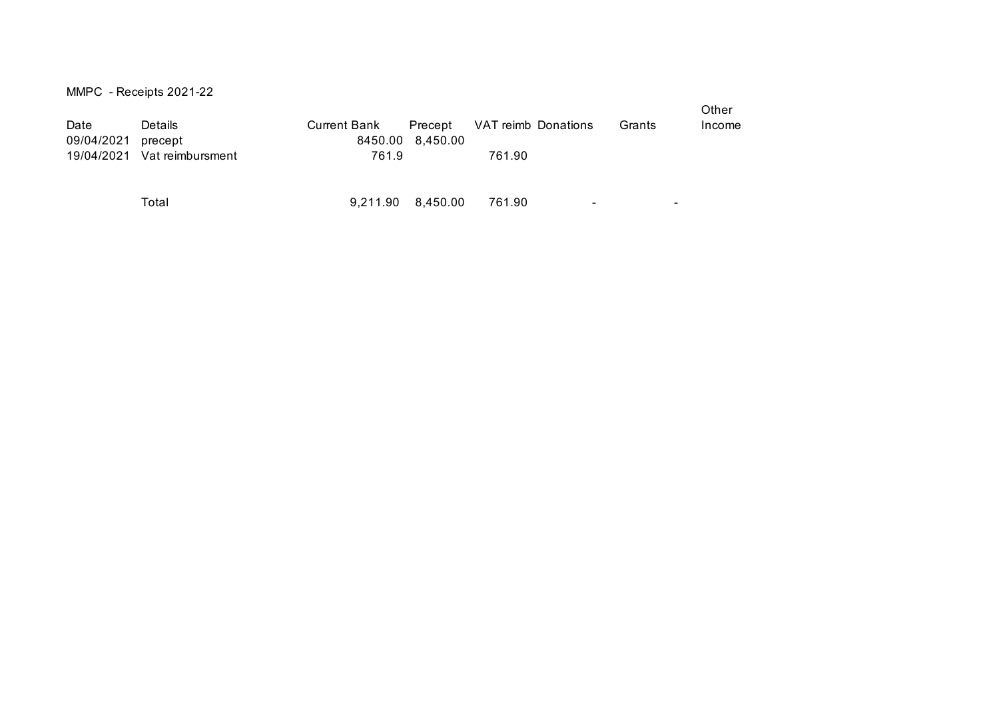MMPC - Receipts 2021-22

| Date       | <b>Details</b>              | Current Bank |                  | Precept VAT reimb Donations |                          | Grants | Other<br>Income          |
|------------|-----------------------------|--------------|------------------|-----------------------------|--------------------------|--------|--------------------------|
| 09/04/2021 | precept                     |              | 8450.00 8,450.00 |                             |                          |        |                          |
|            | 19/04/2021 Vat reimbursment | 761.9        |                  | 761.90                      |                          |        |                          |
|            |                             |              |                  |                             |                          |        |                          |
|            |                             |              |                  |                             |                          |        |                          |
|            | Total                       | 9,211.90     | 8,450.00         | 761.90                      | $\overline{\phantom{0}}$ |        | $\overline{\phantom{0}}$ |